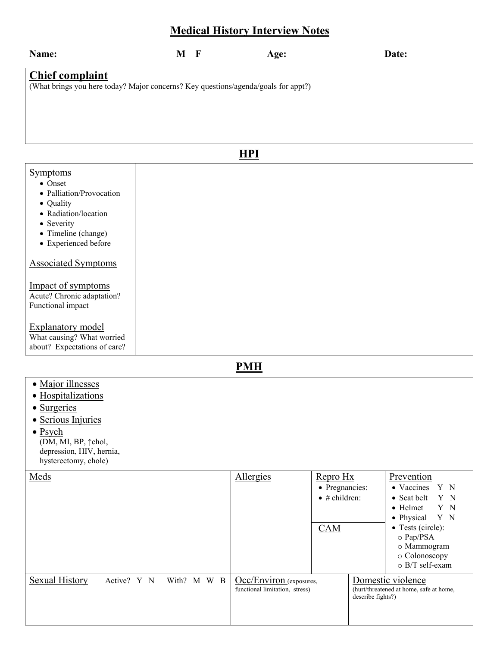## **Medical History Interview Notes**

| Name:                                                                                                                                                              | $M$ F | Age:       | Date: |  |  |
|--------------------------------------------------------------------------------------------------------------------------------------------------------------------|-------|------------|-------|--|--|
| <b>Chief complaint</b><br>(What brings you here today? Major concerns? Key questions/agenda/goals for appt?)                                                       |       |            |       |  |  |
|                                                                                                                                                                    |       | <b>HPI</b> |       |  |  |
|                                                                                                                                                                    |       |            |       |  |  |
| <b>Symptoms</b><br>• Onset<br>• Palliation/Provocation<br>• Quality<br>• Radiation/location<br>• Severity<br>• Timeline (change)<br>a - Español de la del Indiana. |       |            |       |  |  |

• Experienced before

#### Associated Symptoms

#### Impact of symptoms Acute? Chronic adaptation?

Functional impact

### Explanatory model

What causing? What worried about? Expectations of care?

**PMH**

- · Major illnesses
- · Hospitalizations
- Surgeries
- · Serious Injuries
- Psych (DM, MI, BP,  $\uparrow$ chol, depression, HIV, hernia, hysterectomy, chole)

| Meds                          |             | <b>Allergies</b>                                          | Repro Hx              |                   | Prevention                                                                                    |
|-------------------------------|-------------|-----------------------------------------------------------|-----------------------|-------------------|-----------------------------------------------------------------------------------------------|
|                               |             |                                                           | • Pregnancies:        |                   | • Vaccines<br>Y N                                                                             |
|                               |             |                                                           | $\bullet$ # children: |                   | Y N<br>• Seat belt                                                                            |
|                               |             |                                                           |                       |                   | Y N<br>$\bullet$ Helmet                                                                       |
|                               |             |                                                           |                       |                   | Y N<br>$\bullet$ Physical                                                                     |
|                               |             |                                                           | <b>CAM</b>            |                   | • Tests (circle):<br>$\circ$ Pap/PSA<br>o Mammogram<br>o Colonoscopy<br>$\circ$ B/T self-exam |
| Sexual History<br>Active? Y N | With? M W B | Occ/Environ (exposures,<br>functional limitation, stress) |                       | describe fights?) | Domestic violence<br>(hurt/threatened at home, safe at home,                                  |